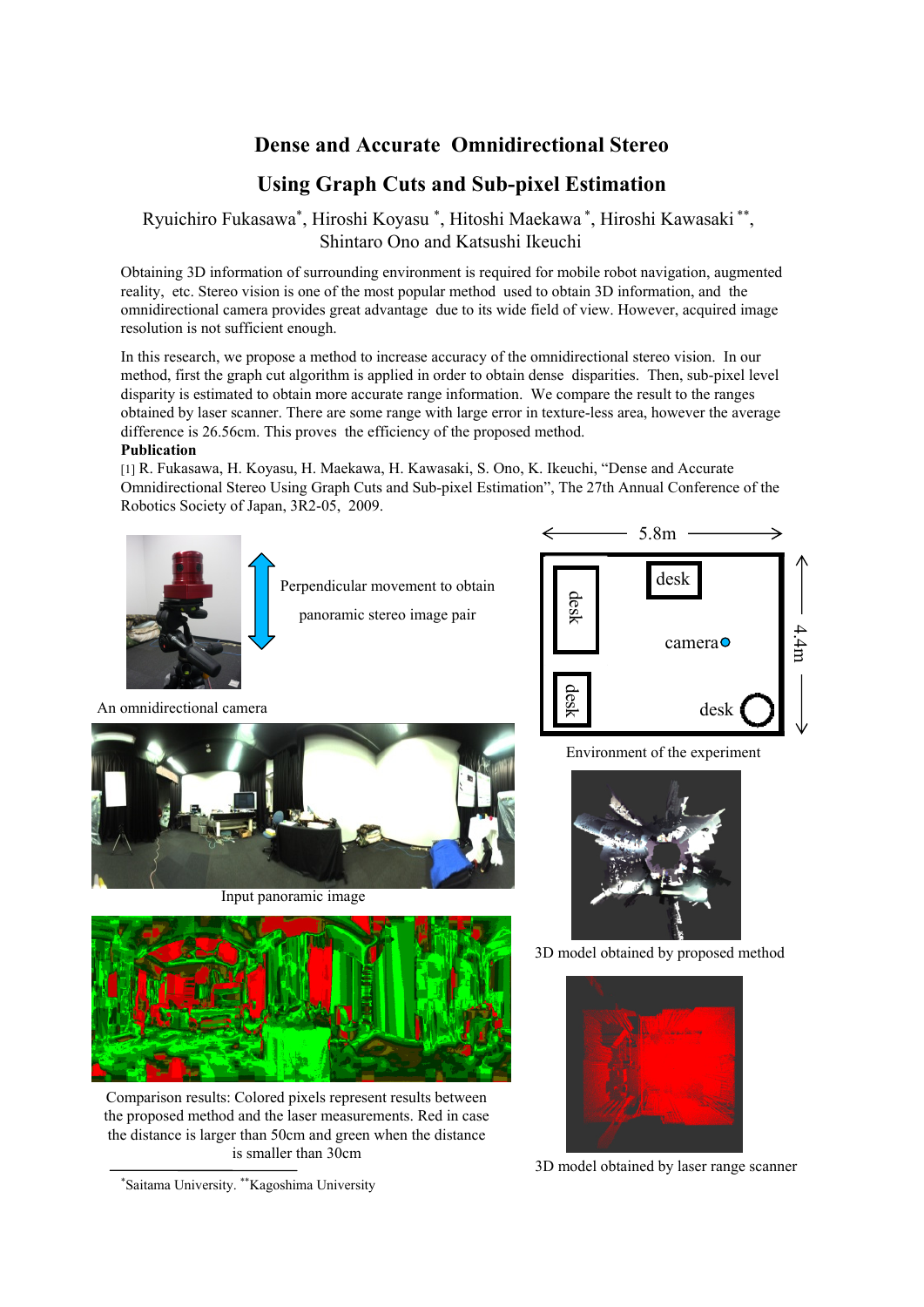### **Dense and Accurate Omnidirectional Stereo**

# **Using Graph Cuts and Sub-pixel Estimation**

### Ryuichiro Fukasawa\*, Hiroshi Koyasu \*, Hitoshi Maekawa \*, Hiroshi Kawasaki \*\*, Shintaro Ono and Katsushi Ikeuchi

Obtaining 3D information of surrounding environment is required for mobile robot navigation, augmented reality, etc. Stereo vision is one of the most popular method used to obtain 3D information, and the omnidirectional camera provides great advantage due to its wide field of view. However, acquired image resolution is not sufficient enough.

In this research, we propose a method to increase accuracy of the omnidirectional stereo vision. In our method, first the graph cut algorithm is applied in order to obtain dense disparities. Then, sub-pixel level disparity is estimated to obtain more accurate range information. We compare the result to the ranges obtained by laser scanner. There are some range with large error in texture-less area, however the average difference is 26.56cm. This proves the efficiency of the proposed method.

#### **Publication**

[1] R. Fukasawa, H. Koyasu, H. Maekawa, H. Kawasaki, S. Ono, K. Ikeuchi, "Dense and Accurate Omnidirectional Stereo Using Graph Cuts and Sub-pixel Estimation", The 27th Annual Conference of the Robotics Society of Japan, 3R2-05, 2009.



Comparison results: Colored pixels represent results between the proposed method and the laser measurements. Red in case the distance is larger than 50cm and green when the distance is smaller than 30cm

\*Saitama University. \*\*Kagoshima University

3D model obtained by laser range scanner